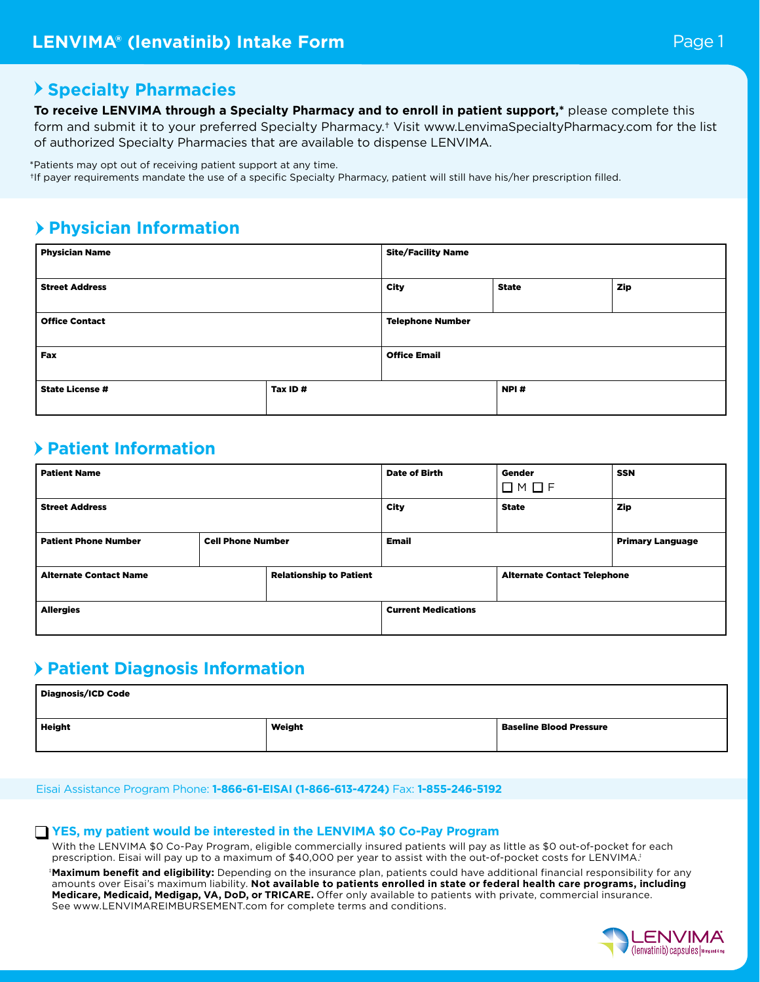### **Specialty Pharmacies**

**To receive LENVIMA through a Specialty Pharmacy and to enroll in patient support,\*** please complete this

form and submit it to your preferred Specialty Pharmacy.† Visit www.LenvimaSpecialtyPharmacy.com for the list of authorized Specialty Pharmacies that are available to dispense LENVIMA.

\*Patients may opt out of receiving patient support at any time.

†If payer requirements mandate the use of a specific Specialty Pharmacy, patient will still have his/her prescription filled.

## **Physician Information**

| <b>Physician Name</b>  |         | <b>Site/Facility Name</b> |              |     |
|------------------------|---------|---------------------------|--------------|-----|
| <b>Street Address</b>  |         | <b>City</b>               | <b>State</b> | Zip |
| <b>Office Contact</b>  |         | <b>Telephone Number</b>   |              |     |
| <b>Fax</b>             |         | <b>Office Email</b>       |              |     |
| <b>State License #</b> | Tax ID# |                           | NPI#         |     |

### **Patient Information**

| <b>Patient Name</b>                                     |  | <b>Date of Birth</b>           | Gender                             | <b>SSN</b>              |            |
|---------------------------------------------------------|--|--------------------------------|------------------------------------|-------------------------|------------|
|                                                         |  |                                |                                    | $\square$ M $\square$ F |            |
| <b>Street Address</b>                                   |  |                                | <b>City</b>                        | <b>State</b>            | <b>Zip</b> |
|                                                         |  |                                |                                    |                         |            |
| <b>Patient Phone Number</b><br><b>Cell Phone Number</b> |  | Email                          |                                    | <b>Primary Language</b> |            |
|                                                         |  |                                |                                    |                         |            |
| <b>Alternate Contact Name</b>                           |  | <b>Relationship to Patient</b> | <b>Alternate Contact Telephone</b> |                         |            |
|                                                         |  |                                |                                    |                         |            |
| <b>Allergies</b>                                        |  | <b>Current Medications</b>     |                                    |                         |            |
|                                                         |  |                                |                                    |                         |            |

### **Patient Diagnosis Information**

| Diagnosis/ICD Code |        |                                |  |  |  |  |
|--------------------|--------|--------------------------------|--|--|--|--|
| Height             | Weight | <b>Baseline Blood Pressure</b> |  |  |  |  |

Eisai Assistance Program Phone: **1-866-61-EISAI (1-866-613-4724)** Fax: **1-855-246-5192**

#### **YES, my patient would be interested in the LENVIMA \$0 Co-Pay Program**

With the LENVIMA \$0 Co-Pay Program, eligible commercially insured patients will pay as little as \$0 out-of-pocket for each prescription. Eisai will pay up to a maximum of \$40,000 per year to assist with the out-of-pocket costs for LENVIMA.

‡ **Maximum benefit and eligibility:** Depending on the insurance plan, patients could have additional financial responsibility for any amounts over Eisai's maximum liability. **Not available to patients enrolled in state or federal health care programs, including Medicare, Medicaid, Medigap, VA, DoD, or TRICARE.** Offer only available to patients with private, commercial insurance. See www.LENVIMAREIMBURSEMENT.com for complete terms and conditions.